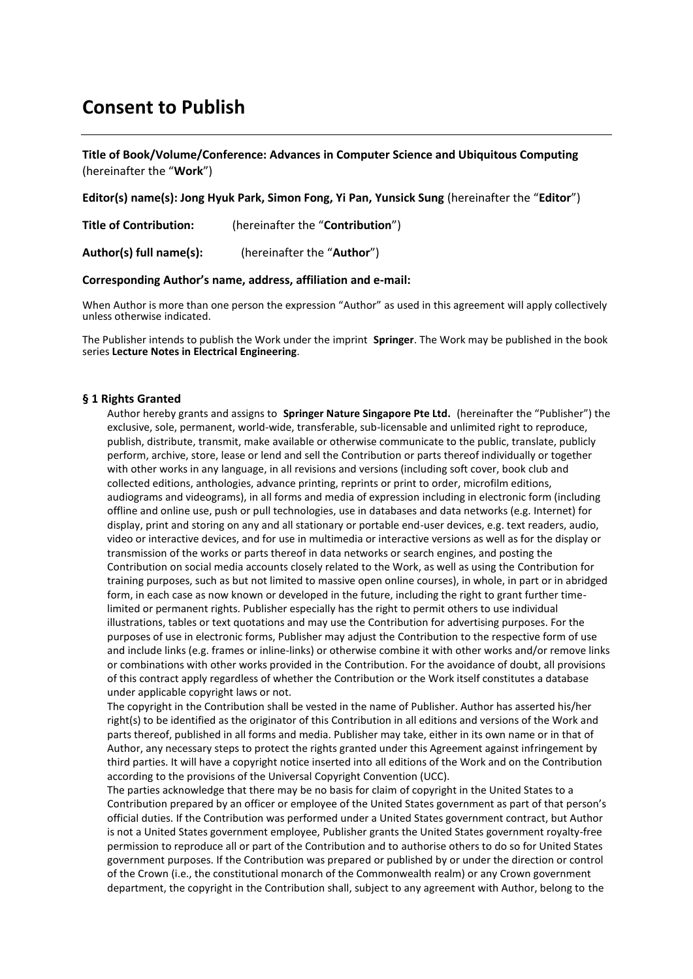# **Consent to Publish**

## **Title of Book/Volume/Conference: Advances in Computer Science and Ubiquitous Computing** (hereinafter the "**Work**")

**Editor(s) name(s): Jong Hyuk Park, Simon Fong, Yi Pan, Yunsick Sung** (hereinafter the "**Editor**")

**Title of Contribution:** (hereinafter the "**Contribution**")

**Author(s) full name(s):** (hereinafter the "**Author**")

#### **Corresponding Author's name, address, affiliation and e-mail:**

When Author is more than one person the expression "Author" as used in this agreement will apply collectively unless otherwise indicated.

The Publisher intends to publish the Work under the imprint **Springer**. The Work may be published in the book series **Lecture Notes in Electrical Engineering**.

## **§ 1 Rights Granted**

Author hereby grants and assigns to **Springer Nature Singapore Pte Ltd.** (hereinafter the "Publisher") the exclusive, sole, permanent, world-wide, transferable, sub-licensable and unlimited right to reproduce, publish, distribute, transmit, make available or otherwise communicate to the public, translate, publicly perform, archive, store, lease or lend and sell the Contribution or parts thereof individually or together with other works in any language, in all revisions and versions (including soft cover, book club and collected editions, anthologies, advance printing, reprints or print to order, microfilm editions, audiograms and videograms), in all forms and media of expression including in electronic form (including offline and online use, push or pull technologies, use in databases and data networks (e.g. Internet) for display, print and storing on any and all stationary or portable end-user devices, e.g. text readers, audio, video or interactive devices, and for use in multimedia or interactive versions as well as for the display or transmission of the works or parts thereof in data networks or search engines, and posting the Contribution on social media accounts closely related to the Work, as well as using the Contribution for training purposes, such as but not limited to massive open online courses), in whole, in part or in abridged form, in each case as now known or developed in the future, including the right to grant further timelimited or permanent rights. Publisher especially has the right to permit others to use individual illustrations, tables or text quotations and may use the Contribution for advertising purposes. For the purposes of use in electronic forms, Publisher may adjust the Contribution to the respective form of use and include links (e.g. frames or inline-links) or otherwise combine it with other works and/or remove links or combinations with other works provided in the Contribution. For the avoidance of doubt, all provisions of this contract apply regardless of whether the Contribution or the Work itself constitutes a database under applicable copyright laws or not.

The copyright in the Contribution shall be vested in the name of Publisher. Author has asserted his/her right(s) to be identified as the originator of this Contribution in all editions and versions of the Work and parts thereof, published in all forms and media. Publisher may take, either in its own name or in that of Author, any necessary steps to protect the rights granted under this Agreement against infringement by third parties. It will have a copyright notice inserted into all editions of the Work and on the Contribution according to the provisions of the Universal Copyright Convention (UCC).

The parties acknowledge that there may be no basis for claim of copyright in the United States to a Contribution prepared by an officer or employee of the United States government as part of that person's official duties. If the Contribution was performed under a United States government contract, but Author is not a United States government employee, Publisher grants the United States government royalty-free permission to reproduce all or part of the Contribution and to authorise others to do so for United States government purposes. If the Contribution was prepared or published by or under the direction or control of the Crown (i.e., the constitutional monarch of the Commonwealth realm) or any Crown government department, the copyright in the Contribution shall, subject to any agreement with Author, belong to the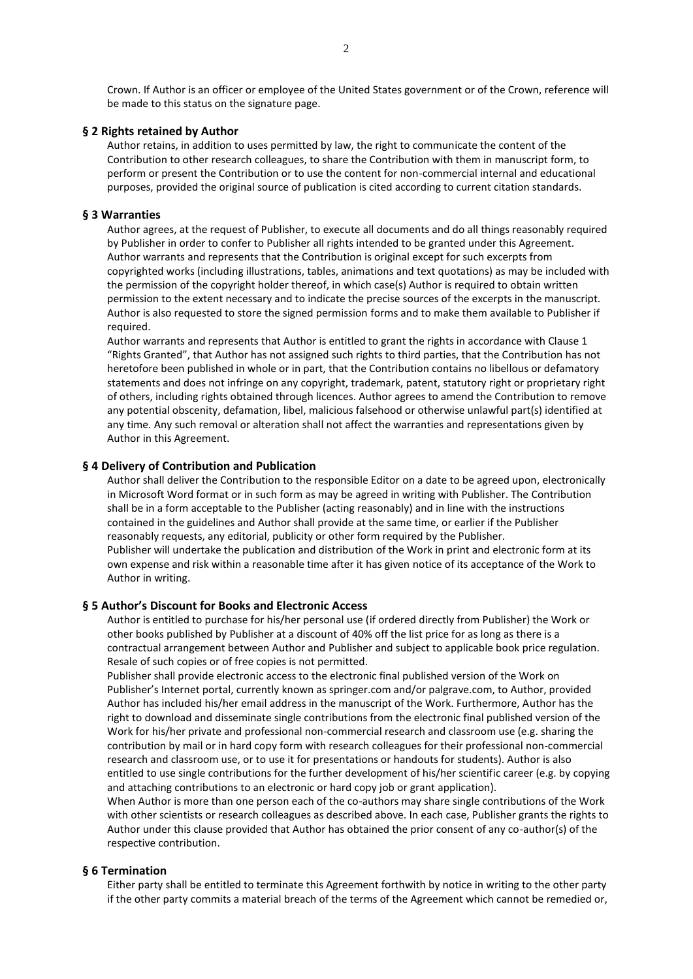Crown. If Author is an officer or employee of the United States government or of the Crown, reference will be made to this status on the signature page.

#### **§ 2 Rights retained by Author**

Author retains, in addition to uses permitted by law, the right to communicate the content of the Contribution to other research colleagues, to share the Contribution with them in manuscript form, to perform or present the Contribution or to use the content for non-commercial internal and educational purposes, provided the original source of publication is cited according to current citation standards.

#### **§ 3 Warranties**

Author agrees, at the request of Publisher, to execute all documents and do all things reasonably required by Publisher in order to confer to Publisher all rights intended to be granted under this Agreement. Author warrants and represents that the Contribution is original except for such excerpts from copyrighted works (including illustrations, tables, animations and text quotations) as may be included with the permission of the copyright holder thereof, in which case(s) Author is required to obtain written permission to the extent necessary and to indicate the precise sources of the excerpts in the manuscript. Author is also requested to store the signed permission forms and to make them available to Publisher if required.

Author warrants and represents that Author is entitled to grant the rights in accordance with Clause 1 "Rights Granted", that Author has not assigned such rights to third parties, that the Contribution has not heretofore been published in whole or in part, that the Contribution contains no libellous or defamatory statements and does not infringe on any copyright, trademark, patent, statutory right or proprietary right of others, including rights obtained through licences. Author agrees to amend the Contribution to remove any potential obscenity, defamation, libel, malicious falsehood or otherwise unlawful part(s) identified at any time. Any such removal or alteration shall not affect the warranties and representations given by Author in this Agreement.

#### **§ 4 Delivery of Contribution and Publication**

Author shall deliver the Contribution to the responsible Editor on a date to be agreed upon, electronically in Microsoft Word format or in such form as may be agreed in writing with Publisher. The Contribution shall be in a form acceptable to the Publisher (acting reasonably) and in line with the instructions contained in the guidelines and Author shall provide at the same time, or earlier if the Publisher reasonably requests, any editorial, publicity or other form required by the Publisher. Publisher will undertake the publication and distribution of the Work in print and electronic form at its own expense and risk within a reasonable time after it has given notice of its acceptance of the Work to Author in writing.

## **§ 5 Author's Discount for Books and Electronic Access**

Author is entitled to purchase for his/her personal use (if ordered directly from Publisher) the Work or other books published by Publisher at a discount of 40% off the list price for as long as there is a contractual arrangement between Author and Publisher and subject to applicable book price regulation. Resale of such copies or of free copies is not permitted.

Publisher shall provide electronic access to the electronic final published version of the Work on Publisher's Internet portal, currently known as springer.com and/or palgrave.com, to Author, provided Author has included his/her email address in the manuscript of the Work. Furthermore, Author has the right to download and disseminate single contributions from the electronic final published version of the Work for his/her private and professional non-commercial research and classroom use (e.g. sharing the contribution by mail or in hard copy form with research colleagues for their professional non-commercial research and classroom use, or to use it for presentations or handouts for students). Author is also entitled to use single contributions for the further development of his/her scientific career (e.g. by copying and attaching contributions to an electronic or hard copy job or grant application).

When Author is more than one person each of the co-authors may share single contributions of the Work with other scientists or research colleagues as described above. In each case, Publisher grants the rights to Author under this clause provided that Author has obtained the prior consent of any co-author(s) of the respective contribution.

## **§ 6 Termination**

Either party shall be entitled to terminate this Agreement forthwith by notice in writing to the other party if the other party commits a material breach of the terms of the Agreement which cannot be remedied or,